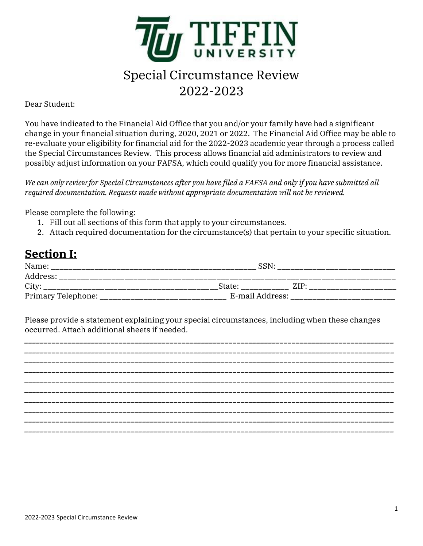

# Special Circumstance Review 2022-2023

#### Dear Student:

You have indicated to the Financial Aid Office that you and/or your family have had a significant change in your financial situation during, 2020, 2021 or 2022. The Financial Aid Office may be able to re-evaluate your eligibility for financial aid for the 2022-2023 academic year through a process called the Special Circumstances Review. This process allows financial aid administrators to review and possibly adjust information on your FAFSA, which could qualify you for more financial assistance.

*We can only review for Special Circumstances after you have filed a FAFSA and only if you have submitted all required documentation. Requests made without appropriate documentation will not be reviewed.*

Please complete the following:

- 1. Fill out all sections of this form that apply to your circumstances.
- 2. Attach required documentation for the circumstance(s) that pertain to your specific situation.

## **Section I:**

| Name:              | SSN             |         |  |
|--------------------|-----------------|---------|--|
| Address:           |                 |         |  |
| City:              | State:          | $ZIP^*$ |  |
| Primary Telephone: | E-mail Address: |         |  |

Please provide a statement explaining your special circumstances, including when these changes occurred. Attach additional sheets if needed.

*\_\_\_\_\_\_\_\_\_\_\_\_\_\_\_\_\_\_\_\_\_\_\_\_\_\_\_\_\_\_\_\_\_\_\_\_\_\_\_\_\_\_\_\_\_\_\_\_\_\_\_\_\_\_\_\_\_\_\_\_\_\_\_\_\_\_\_\_\_\_\_\_\_\_\_\_\_\_\_\_\_\_\_\_\_\_\_\_\_\_\_\_\_\_ \_\_\_\_\_\_\_\_\_\_\_\_\_\_\_\_\_\_\_\_\_\_\_\_\_\_\_\_\_\_\_\_\_\_\_\_\_\_\_\_\_\_\_\_\_\_\_\_\_\_\_\_\_\_\_\_\_\_\_\_\_\_\_\_\_\_\_\_\_\_\_\_\_\_\_\_\_\_\_\_\_\_\_\_\_\_\_\_\_\_\_\_\_\_ \_\_\_\_\_\_\_\_\_\_\_\_\_\_\_\_\_\_\_\_\_\_\_\_\_\_\_\_\_\_\_\_\_\_\_\_\_\_\_\_\_\_\_\_\_\_\_\_\_\_\_\_\_\_\_\_\_\_\_\_\_\_\_\_\_\_\_\_\_\_\_\_\_\_\_\_\_\_\_\_\_\_\_\_\_\_\_\_\_\_\_\_\_\_ \_\_\_\_\_\_\_\_\_\_\_\_\_\_\_\_\_\_\_\_\_\_\_\_\_\_\_\_\_\_\_\_\_\_\_\_\_\_\_\_\_\_\_\_\_\_\_\_\_\_\_\_\_\_\_\_\_\_\_\_\_\_\_\_\_\_\_\_\_\_\_\_\_\_\_\_\_\_\_\_\_\_\_\_\_\_\_\_\_\_\_\_\_\_ \_\_\_\_\_\_\_\_\_\_\_\_\_\_\_\_\_\_\_\_\_\_\_\_\_\_\_\_\_\_\_\_\_\_\_\_\_\_\_\_\_\_\_\_\_\_\_\_\_\_\_\_\_\_\_\_\_\_\_\_\_\_\_\_\_\_\_\_\_\_\_\_\_\_\_\_\_\_\_\_\_\_\_\_\_\_\_\_\_\_\_\_\_\_ \_\_\_\_\_\_\_\_\_\_\_\_\_\_\_\_\_\_\_\_\_\_\_\_\_\_\_\_\_\_\_\_\_\_\_\_\_\_\_\_\_\_\_\_\_\_\_\_\_\_\_\_\_\_\_\_\_\_\_\_\_\_\_\_\_\_\_\_\_\_\_\_\_\_\_\_\_\_\_\_\_\_\_\_\_\_\_\_\_\_\_\_\_\_ \_\_\_\_\_\_\_\_\_\_\_\_\_\_\_\_\_\_\_\_\_\_\_\_\_\_\_\_\_\_\_\_\_\_\_\_\_\_\_\_\_\_\_\_\_\_\_\_\_\_\_\_\_\_\_\_\_\_\_\_\_\_\_\_\_\_\_\_\_\_\_\_\_\_\_\_\_\_\_\_\_\_\_\_\_\_\_\_\_\_\_\_\_\_ \_\_\_\_\_\_\_\_\_\_\_\_\_\_\_\_\_\_\_\_\_\_\_\_\_\_\_\_\_\_\_\_\_\_\_\_\_\_\_\_\_\_\_\_\_\_\_\_\_\_\_\_\_\_\_\_\_\_\_\_\_\_\_\_\_\_\_\_\_\_\_\_\_\_\_\_\_\_\_\_\_\_\_\_\_\_\_\_\_\_\_\_\_\_ \_\_\_\_\_\_\_\_\_\_\_\_\_\_\_\_\_\_\_\_\_\_\_\_\_\_\_\_\_\_\_\_\_\_\_\_\_\_\_\_\_\_\_\_\_\_\_\_\_\_\_\_\_\_\_\_\_\_\_\_\_\_\_\_\_\_\_\_\_\_\_\_\_\_\_\_\_\_\_\_\_\_\_\_\_\_\_\_\_\_\_\_\_\_ \_\_\_\_\_\_\_\_\_\_\_\_\_\_\_\_\_\_\_\_\_\_\_\_\_\_\_\_\_\_\_\_\_\_\_\_\_\_\_\_\_\_\_\_\_\_\_\_\_\_\_\_\_\_\_\_\_\_\_\_\_\_\_\_\_\_\_\_\_\_\_\_\_\_\_\_\_\_\_\_\_\_\_\_\_\_\_\_\_\_\_\_\_\_*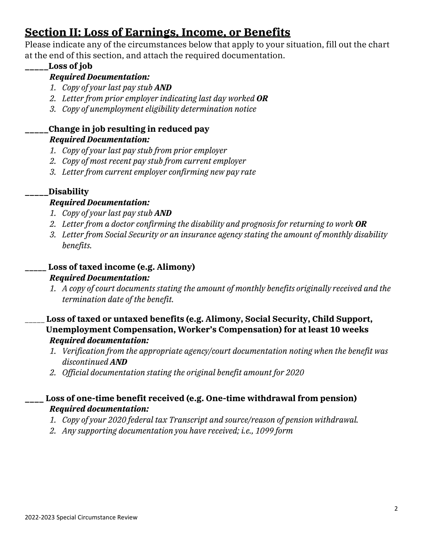## **Section II: Loss of Earnings, Income, or Benefits**

Please indicate any of the circumstances below that apply to your situation, fill out the chart at the end of this section, and attach the required documentation.

### **\_\_\_\_\_Loss of job**

- *Required Documentation:*
- *1. Copy of your last pay stub AND*
- *2. Letter from prior employer indicating last day worked OR*
- *3. Copy of unemployment eligibility determination notice*

### **\_\_\_\_\_Change in job resulting in reduced pay** *Required Documentation:*

- *1. Copy of your last pay stub from prior employer*
- *2. Copy of most recent pay stub from current employer*
- *3. Letter from current employer confirming new pay rate*

### **\_\_\_\_\_Disability**

### *Required Documentation:*

- *1. Copy of your last pay stub AND*
- *2. Letter from a doctor confirming the disability and prognosis for returning to work OR*
- *3. Letter from Social Security or an insurance agency stating the amount of monthly disability benefits.*

### **\_\_\_\_\_ Loss of taxed income (e.g. Alimony)** *Required Documentation:*

- *1. A copy of court documents stating the amount of monthly benefits originally received and the termination date of the benefit.*
- \_\_\_\_\_ **Loss of taxed or untaxed benefits (e.g. Alimony, Social Security, Child Support, Unemployment Compensation, Worker's Compensation) for at least 10 weeks** *Required documentation:* 
	- *1. Verification from the appropriate agency/court documentation noting when the benefit was discontinued AND*
	- *2. Official documentation stating the original benefit amount for 2020*

### **\_\_\_\_ Loss of one-time benefit received (e.g. One-time withdrawal from pension)** *Required documentation:*

- *1. Copy of your 2020 federal tax Transcript and source/reason of pension withdrawal.*
- *2. Any supporting documentation you have received; i.e., 1099 form*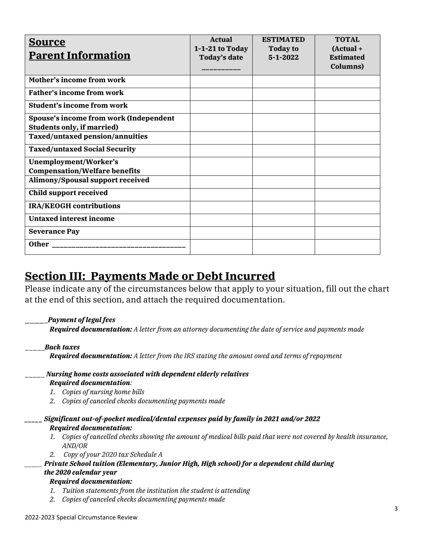| <b>Source</b><br><b>Parent Information</b>                                                                     | <b>Actual</b><br>1-1-21 to Today<br><b>Today's date</b> | <b>ESTIMATED</b><br><b>Today to</b><br>$5 - 1 - 2022$ | <b>TOTAL</b><br>$(Actual +$<br><b>Estimated</b><br>Columns) |
|----------------------------------------------------------------------------------------------------------------|---------------------------------------------------------|-------------------------------------------------------|-------------------------------------------------------------|
| Mother's income from work                                                                                      |                                                         |                                                       |                                                             |
| <b>Father's income from work</b>                                                                               |                                                         |                                                       |                                                             |
| <b>Student's income from work</b>                                                                              |                                                         |                                                       |                                                             |
| Spouse's income from work (Independent<br><b>Students only, if married)</b><br>Taxed/untaxed pension/annuities |                                                         |                                                       |                                                             |
| <b>Taxed/untaxed Social Security</b>                                                                           |                                                         |                                                       |                                                             |
| Unemployment/Worker's<br><b>Compensation/Welfare benefits</b>                                                  |                                                         |                                                       |                                                             |
| Alimony/Spousal support received                                                                               |                                                         |                                                       |                                                             |
| <b>Child support received</b>                                                                                  |                                                         |                                                       |                                                             |
| <b>IRA/KEOGH</b> contributions                                                                                 |                                                         |                                                       |                                                             |
| <b>Untaxed interest income</b>                                                                                 |                                                         |                                                       |                                                             |
| <b>Severance Pay</b>                                                                                           |                                                         |                                                       |                                                             |
|                                                                                                                |                                                         |                                                       |                                                             |

## **Section III: Payments Made or Debt Incurred**

Please indicate any of the circumstances below that apply to your situation, fill out the chart at the end of this section, and attach the required documentation.

\_\_\_\_\_*Payment of legal fees*

*Required documentation: A letter from an attorney documenting the date of service and payments made*

\_\_\_\_\_*Back taxes*

*Required documentation: A letter from the IRS stating the amount owed and terms of repayment*

- \_\_\_\_\_ *Nursing home costs associated with dependent elderly relatives Required documentation:* 
	- *1. Copies of nursing home bills*
	- *2. Copies of canceled checks documenting payments made*
- *\_\_\_\_\_ Significant out-of-pocket medical/dental expenses paid by family in 2021 and/or 2022 Required documentation:*
	- *1. Copies of cancelled checks showing the amount of medical bills paid that were not covered by health insurance, AND/OR*
	- *2. Copy of your 2020 tax Schedule A*

#### *\_\_\_\_\_ Private School tuition (Elementary, Junior High, High school) for a dependent child during*

#### *the 2020 calendar year*

#### *Required documentation:*

- *1. Tuition statements from the institution the student is attending*
- *2. Copies of canceled checks documenting payments made*